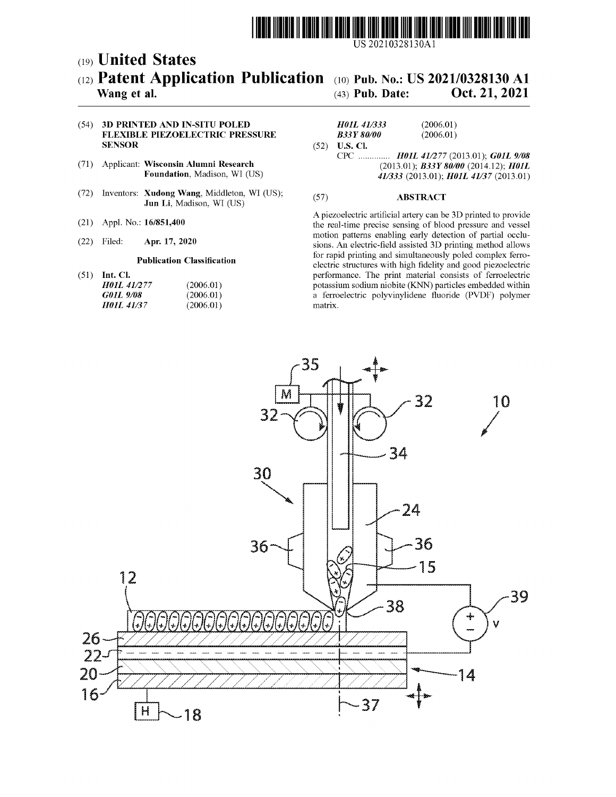

US 20210328130Al

# c19) **United States**  c12) **Patent Application Publication**  c10) **Pub. No.: US 2021/0328130 Al**

# **Wang et al.**

(43) **Pub. Date: Oct. 21, 2021** 

### (54) **3D PRINTED AND IN-SITU POLED FLEXIBLE PIEZOELECTRIC PRESSURE SENSOR**

- (71) Applicant: **Wisconsin Alumni Research Foundation,** Madison, WI (US)
- (72) Inventors: **Xudong Wang,** Middleton, WI (US); **Jun Li,** Madison, WI (US)
- (21) Appl. No.: **16/851,400**
- (22) Filed: **Apr. 17, 2020**

#### **Publication Classification**

(51) **Int. Cl.** 

| <b>H01L 41/277</b>       | (2006.01) |
|--------------------------|-----------|
| G01L 9/08                | (2006.01) |
| <i><b>HOIL 41/37</b></i> | (2006.01) |

#### (52) **U.S. Cl.**  *H0JL 411333 B33Y 80/00*  (2006.01) (2006.01) CPC .............. *H0JL 411277* (2013.01); *G0JL 9/08*

(2013.01); *B33Y 80/00* (2014.12); *H0JL 411333* (2013.01); *H0JL 41137* (2013.01)

#### (57) **ABSTRACT**

A piezoelectric artificial artery can be 3D printed to provide the real-time precise sensing of blood pressure and vessel motion patterns enabling early detection of partial occlusions. An electric-field assisted 3D printing method allows for rapid printing and simultaneously poled complex ferroelectric structures with high fidelity and good piezoelectric performance. The print material consists of ferroelectric potassium sodium niobite (KNN) particles embedded within a ferroelectric polyvinylidene fluoride (PVDF) polymer matrix.

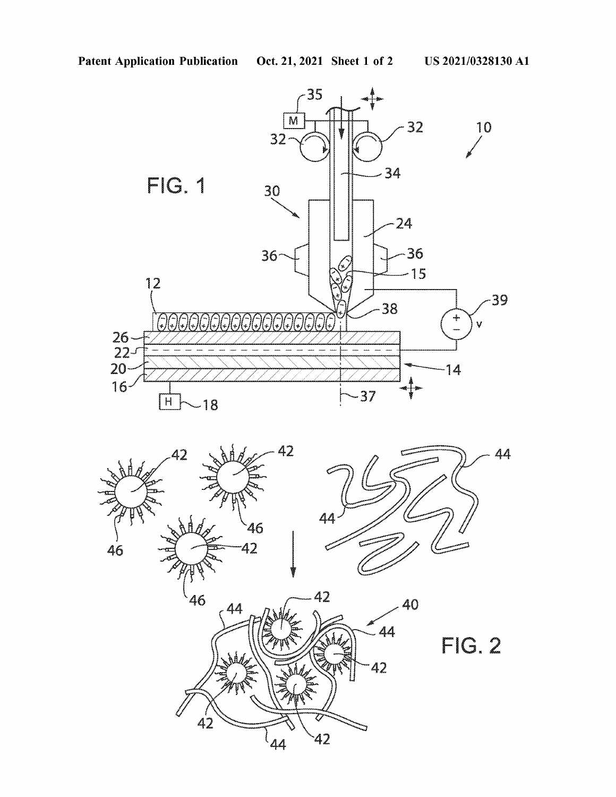

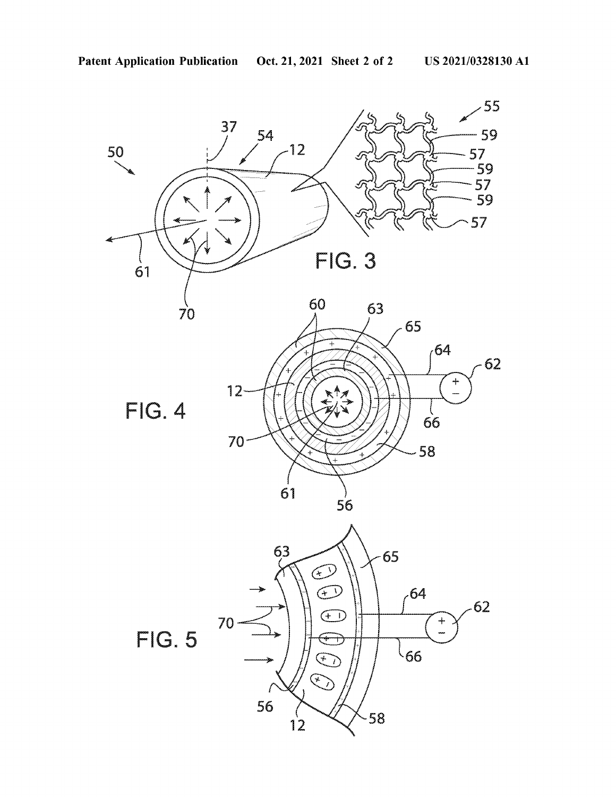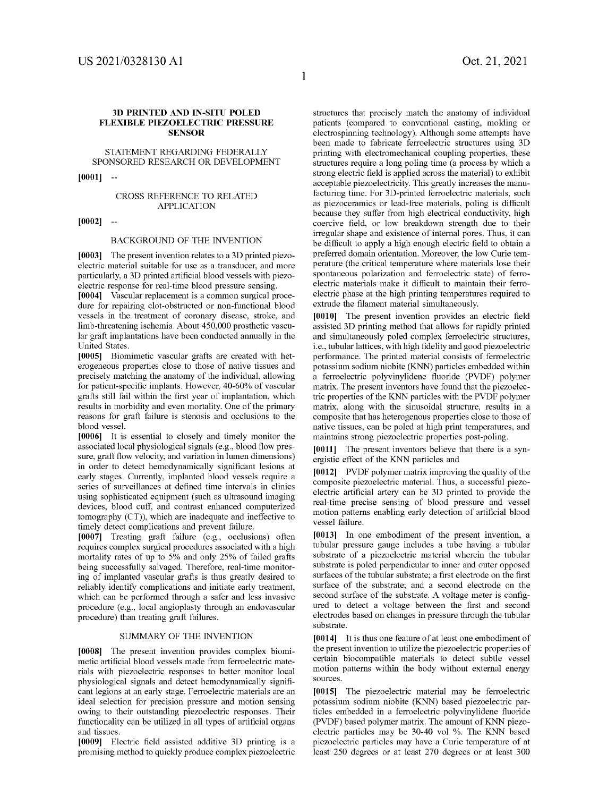# **Oct. 21, 2021**

#### **3D PRINTED AND IN-SITU POLED FLEXIBLE PIEZOELECTRIC PRESSURE SENSOR**

## STATEMENT REGARDING FEDERALLY SPONSORED RESEARCH OR DEVELOPMENT

**[0001]** 

#### CROSS REFERENCE TO RELATED APPLICATION

**[0002]** 

#### BACKGROUND OF THE INVENTION

**[0003]** The present invention relates to a 3D printed piezoelectric material suitable for use as a transducer, and more particularly, a 3D printed artificial blood vessels with piezoelectric response for real-time blood pressure sensing.

**[0004]** Vascular replacement is a common surgical procedure for repairing clot-obstructed or non-functional blood vessels in the treatment of coronary disease, stroke, and limb-threatening ischemia. About 450,000 prosthetic vascular graft implantations have been conducted annually in the United States.

**[0005]** Biomimetic vascular grafts are created with heterogeneous properties close to those of native tissues and precisely matching the anatomy of the individual, allowing for patient-specific implants. However, 40-60% of vascular grafts still fail within the first year of implantation, which results in morbidity and even mortality. One of the primary reasons for graft failure is stenosis and occlusions to the blood vessel.

**[0006]** It is essential to closely and timely monitor the associated local physiological signals (e.g., blood flow pressure, graft flow velocity, and variation in lumen dimensions) in order to detect hemodynamically significant lesions at early stages. Currently, implanted blood vessels require a series of surveillances at defined time intervals in clinics using sophisticated equipment (such as ultrasound imaging devices, blood cuff, and contrast enhanced computerized tomography (CT)), which are inadequate and ineffective to timely detect complications and prevent failure.

**[0007]** Treating graft failure (e.g., occlusions) often requires complex surgical procedures associated with a high mortality rates of up to 5% and only 25% of failed grafts being successfully salvaged. Therefore, real-time monitoring of implanted vascular grafts is thus greatly desired to reliably identify complications and initiate early treatment, which can be performed through a safer and less invasive procedure (e.g., local angioplasty through an endovascular procedure) than treating graft failures.

#### SUMMARY OF THE INVENTION

**[0008]** The present invention provides complex biomimetic artificial blood vessels made from ferroelectric materials with piezoelectric responses to better monitor local physiological signals and detect hemodynamically significant legions at an early stage. Ferroelectric materials are an ideal selection for precision pressure and motion sensing owing to their outstanding piezoelectric responses. Their functionality can be utilized in all types of artificial organs and tissues.

**[0009]** Electric field assisted additive 3D printing is a promising method to quickly produce complex piezoelectric structures that precisely match the anatomy of individual patients ( compared to conventional casting, molding or electrospinning technology). Although some attempts have been made to fabricate ferroelectric structures using 3D printing with electromechanical coupling properties, these structures require a long poling time (a process by which a strong electric field is applied across the material) to exhibit acceptable piezoelectricity. This greatly increases the manufacturing time. For 3D-printed ferroelectric materials, such as piezoceramics or lead-free materials, poling is difficult because they suffer from high electrical conductivity, high coercive field, or low breakdown strength due to their irregular shape and existence of internal pores. Thus, it can be difficult to apply a high enough electric field to obtain a preferred domain orientation. Moreover, the low Curie temperature (the critical temperature where materials lose their spontaneous polarization and ferroelectric state) of ferroelectric materials make it difficult to maintain their ferroelectric phase at the high printing temperatures required to extrude the filament material simultaneously.

**[0010]** The present invention provides an electric field assisted 3D printing method that allows for rapidly printed and simultaneously poled complex ferroelectric structures, i.e., tubular lattices, with high fidelity and good piezoelectric performance. The printed material consists of ferroelectric potassium sodium niobite (KNN) particles embedded within a ferroelectric polyvinylidene fluoride (PVDF) polymer matrix. The present inventors have found that the piezoelectric properties of the KNN particles with the PVDF polymer matrix, along with the sinusoidal structure, results in a composite that has heterogenous properties close to those of native tissues, can be poled at high print temperatures, and maintains strong piezoelectric properties post-poling.

**[0011]** The present inventors believe that there is a synergistic effect of the KNN particles and

**[0012]** PVDF polymer matrix improving the quality of the composite piezoelectric material. Thus, a successful piezoelectric artificial artery can be 3D printed to provide the real-time precise sensing of blood pressure and vessel motion patterns enabling early detection of artificial blood vessel failure.

**[0013]** In one embodiment of the present invention, a tubular pressure gauge includes a tube having a tubular substrate of a piezoelectric material wherein the tubular substrate is poled perpendicular to inner and outer opposed surfaces of the tubular substrate; a first electrode on the first surface of the substrate; and a second electrode on the second surface of the substrate. A voltage meter is configured to detect a voltage between the first and second electrodes based on changes in pressure through the tubular substrate.

**[0014]** It is thus one feature of at least one embodiment of the present invention to utilize the piezoelectric properties of certain biocompatible materials to detect subtle vessel motion patterns within the body without external energy sources.

**[0015]** The piezoelectric material may be ferroelectric potassium sodium niobite (KNN) based piezoelectric particles embedded in a ferroelectric polyvinylidene fluoride (PVDF) based polymer matrix. The amount of KNN piezoelectric particles may be 30-40 vol %. The KNN based piezoelectric particles may have a Curie temperature of at least 250 degrees or at least 270 degrees or at least 300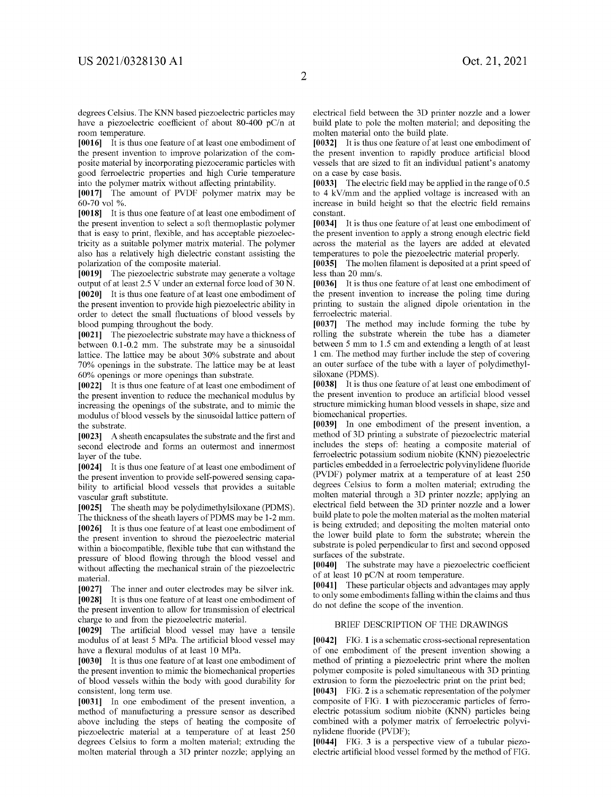degrees Celsius. The KNN based piezoelectric particles may have a piezoelectric coefficient of about 80-400 pC/n at room temperature.

[0016] It is thus one feature of at least one embodiment of the present invention to improve polarization of the composite material by incorporating piezoceramic particles with good ferroelectric properties and high Curie temperature into the polymer matrix without affecting printability.

**[0017]** The amount of PVDF polymer matrix may be 60-70 vol %.

**[0018]** It is thus one feature of at least one embodiment of the present invention to select a soft thermoplastic polymer that is easy to print, flexible, and has acceptable piezoelectricity as a suitable polymer matrix material. The polymer also has a relatively high dielectric constant assisting the polarization of the composite material.

**[0019]** The piezoelectric substrate may generate a voltage output of at least 2.5 V under an external force load of 30 N. **[0020]** It is thus one feature of at least one embodiment of the present invention to provide high piezoelectric ability in order to detect the small fluctuations of blood vessels by blood pumping throughout the body.

**[0021]** The piezoelectric substrate may have a thickness of between 0.1-0.2 mm. The substrate may be a sinusoidal lattice. The lattice may be about 30% substrate and about 70% openings in the substrate. The lattice may be at least 60% openings or more openings than substrate.

**[0022]** It is thus one feature of at least one embodiment of the present invention to reduce the mechanical modulus by increasing the openings of the substrate, and to mimic the modulus of blood vessels by the sinusoidal lattice pattern of the substrate.

**[0023]** A sheath encapsulates the substrate and the first and second electrode and forms an outermost and innermost layer of the tube.

**[0024]** It is thus one feature of at least one embodiment of the present invention to provide self-powered sensing capability to artificial blood vessels that provides a suitable vascular graft substitute.

**[0025]** The sheath may be polydimethylsiloxane (PDMS).

The thickness of the sheath layers of PDMS maybe 1-2 mm. **[0026]** It is thus one feature of at least one embodiment of the present invention to shroud the piezoelectric material within a biocompatible, flexible tube that can withstand the pressure of blood flowing through the blood vessel and without affecting the mechanical strain of the piezoelectric material.

**[0027]** The inner and outer electrodes may be silver ink. **[0028]** It is thus one feature of at least one embodiment of the present invention to allow for transmission of electrical charge to and from the piezoelectric material.

**[0029]** The artificial blood vessel may have a tensile modulus of at least 5 MPa. The artificial blood vessel may have a flexural modulus of at least 10 MPa.

**[0030]** It is thus one feature of at least one embodiment of the present invention to mimic the biomechanical properties of blood vessels within the body with good durability for consistent, long term use.

**[0031]** In one embodiment of the present invention, a method of manufacturing a pressure sensor as described above including the steps of heating the composite of piezoelectric material at a temperature of at least 250 degrees Celsius to form a molten material; extruding the molten material through a 3D printer nozzle; applying an electrical field between the 3D printer nozzle and a lower build plate to pole the molten material; and depositing the molten material onto the build plate.

**[0032]** It is thus one feature of at least one embodiment of the present invention to rapidly produce artificial blood vessels that are sized to fit an individual patient's anatomy on a case by case basis.

**[0033]** The electric field may be applied in the range of0.5 to 4 kV/mm and the applied voltage is increased with an increase in build height so that the electric field remains constant.

**[0034]** It is thus one feature of at least one embodiment of the present invention to apply a strong enough electric field across the material as the layers are added at elevated temperatures to pole the piezoelectric material properly.

**[0035]** The molten filament is deposited at a print speed of less than 20 mm/s.

**[0036]** It is thus one feature of at least one embodiment of the present invention to increase the poling time during printing to sustain the aligned dipole orientation in the ferroelectric material.

**[0037]** The method may include forming the tube by rolling the substrate wherein the tube has a diameter between 5 mm to 1.5 cm and extending a length of at least 1 cm. The method may further include the step of covering an outer surface of the tube with a layer of polydimethylsiloxane (PDMS).

**[0038]** It is thus one feature of at least one embodiment of the present invention to produce an artificial blood vessel structure mimicking human blood vessels in shape, size and biomechanical properties.

**[0039]** In one embodiment of the present invention, a method of 3D printing a substrate of piezoelectric material includes the steps of: heating a composite material of ferroelectric potassium sodium niobite (KNN) piezoelectric particles embedded in a ferroelectric polyvinylidene fluoride (PVDF) polymer matrix at a temperature of at least 250 degrees Celsius to form a molten material; extruding the molten material through a 3D printer nozzle; applying an electrical field between the 3D printer nozzle and a lower build plate to pole the molten material as the molten material is being extruded; and depositing the molten material onto the lower build plate to form the substrate; wherein the substrate is poled perpendicular to first and second opposed surfaces of the substrate.

**[0040]** The substrate may have a piezoelectric coefficient of at least 10 pC/N at room temperature.

**[0041]** These particular objects and advantages may apply to only some embodiments falling within the claims and thus do not define the scope of the invention.

#### BRIEF DESCRIPTION OF THE DRAWINGS

**[0042]** FIG. **1** is a schematic cross-sectional representation of one embodiment of the present invention showing a method of printing a piezoelectric print where the molten polymer composite is poled simultaneous with 3D printing extrusion to form the piezoelectric print on the print bed;

**[0043]** FIG. **2** is a schematic representation of the polymer composite of FIG. **1** with piezoceramic particles of ferroelectric potassium sodium niobite (KNN) particles being combined with a polymer matrix of ferroelectric polyvinylidene fluoride (PVDF);

**[0044]** FIG. **3** is a perspective view of a tubular piezoelectric artificial blood vessel formed by the method of FIG.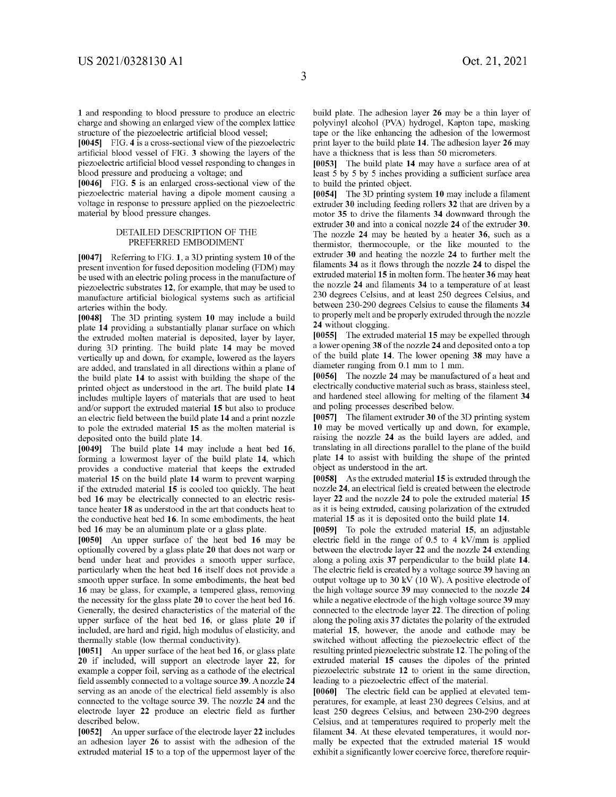**1** and responding to blood pressure to produce an electric charge and showing an enlarged view of the complex lattice structure of the piezoelectric artificial blood vessel;

**[0045]** FIG. **4** is a cross-sectional view of the piezoelectric artificial blood vessel of FIG. **3** showing the layers of the piezoelectric artificial blood vessel responding to changes in blood pressure and producing a voltage; and

**[0046]** FIG. **5** is an enlarged cross-sectional view of the piezoelectric material having a dipole moment causing a voltage in response to pressure applied on the piezoelectric material by blood pressure changes.

#### DETAILED DESCRIPTION OF THE PREFERRED EMBODIMENT

**[0047]** Referring to FIG. **1,** a 3D printing system **10** of the present invention for fused deposition modeling (FDM) may be used with an electric poling process in the manufacture of piezoelectric substrates **12,** for example, that may be used to manufacture artificial biological systems such as artificial arteries within the body.

**[0048]** The 3D printing system **10** may include a build plate **14** providing a substantially planar surface on which the extruded molten material is deposited, layer by layer, during 3D printing. The build plate **14** may be moved vertically up and down, for example, lowered as the layers are added, and translated in all directions within a plane of the build plate **14** to assist with building the shape of the printed object as understood in the art. The build plate **14**  includes multiple layers of materials that are used to heat and/or support the extruded material **15** but also to produce an electric field between the build plate **14** and a print nozzle to pole the extruded material **15** as the molten material is deposited onto the build plate **14.** 

**[0049]** The build plate **14** may include a heat bed **16,**  forming a lowermost layer of the build plate **14,** which provides a conductive material that keeps the extruded material **15** on the build plate **14** warm to prevent warping if the extruded material **15** is cooled too quickly. The heat bed **16** may be electrically connected to an electric resistance heater **18** as understood in the art that conducts heat to the conductive heat bed **16.** In some embodiments, the heat bed **16** may be an aluminum plate or a glass plate.

**[0050]** An upper surface of the heat bed **16** may be optionally covered by a glass plate **20** that does not warp or bend under heat and provides a smooth upper surface, particularly when the heat bed **16** itself does not provide a smooth upper surface. In some embodiments, the heat bed **16** may be glass, for example, a tempered glass, removing the necessity for the glass plate **20** to cover the heat bed **16.**  Generally, the desired characteristics of the material of the upper surface of the heat bed **16,** or glass plate **20** if included, are hard and rigid, high modulus of elasticity, and thermally stable (low thermal conductivity).

**[0051]** An upper surface of the heat bed **16,** or glass plate **20** if included, will support an electrode layer **22,** for example a copper foil, serving as a cathode of the electrical field assembly connected to a voltage source **39.** A nozzle **24**  serving as an anode of the electrical field assembly is also connected to the voltage source **39.** The nozzle **24** and the electrode layer **22** produce an electric field as further described below.

**[0052]** An upper surface of the electrode layer **22** includes an adhesion layer **26** to assist with the adhesion of the extruded material **15** to a top of the uppermost layer of the build plate. The adhesion layer **26** may be a thin layer of polyvinyl alcohol (PVA) hydrogel, Kapton tape, masking tape or the like enhancing the adhesion of the lowermost print layer to the build plate **14.** The adhesion layer **26** may have a thickness that is less than 50 micrometers.

**[0053]** The build plate **14** may have a surface area of at least 5 by 5 by 5 inches providing a sufficient surface area to build the printed object.

**[0054]** The 3D printing system **10** may include a filament extruder **30** including feeding rollers **32** that are driven by a motor **35** to drive the filaments **34** downward through the extruder **30** and into a conical nozzle **24** of the extruder **30.**  The nozzle **24** may be heated by a heater **36,** such as a thermistor, thermocouple, or the like mounted to the extruder **30** and heating the nozzle **24** to further melt the filaments **34** as it flows through the nozzle **24** to dispel the extruded material **15** in molten form. The heater **36** may heat the nozzle **24** and filaments **34** to a temperature of at least 230 degrees Celsius, and at least 250 degrees Celsius, and between 230-290 degrees Celsius to cause the filaments **34**  to properly melt and be properly extruded through the nozzle **24** without clogging.

**[0055]** The extruded material **15** may be expelled through a lower opening **38** of the nozzle **24** and deposited onto a top of the build plate **14.** The lower opening **38** may have a diameter ranging from 0.1 mm to 1 mm.

**[0056]** The nozzle **24** may be manufactured of a heat and electrically conductive material such as brass, stainless steel, and hardened steel allowing for melting of the filament **34**  and poling processes described below.

**[0057]** The filament extruder **30** of the 3D printing system **10** may be moved vertically up and down, for example, raising the nozzle **24** as the build layers are added, and translating in all directions parallel to the plane of the build plate **14** to assist with building the shape of the printed object as understood in the art.

**[0058]** As the extruded material **15** is extruded through the nozzle **24,** an electrical field is created between the electrode layer **22** and the nozzle **24** to pole the extruded material **15**  as it is being extruded, causing polarization of the extruded material **15** as it is deposited onto the build plate **14.** 

**[0059]** To pole the extruded material **15,** an adjustable electric field in the range of 0.5 to 4 kV/mm is applied between the electrode layer **22** and the nozzle **24** extending along a poling axis **37** perpendicular to the build plate **14.**  The electric field is created by a voltage source **39** having an output voltage up to 30 kV (10 W). A positive electrode of the high voltage source **39** may connected to the nozzle **24**  while a negative electrode of the high voltage source **39** may connected to the electrode layer **22.** The direction of poling along the poling axis **37** dictates the polarity of the extruded material **15,** however, the anode and cathode may be switched without affecting the piezoelectric effect of the resulting printed piezoelectric substrate **12.** The poling of the extruded material **15** causes the dipoles of the printed piezoelectric substrate **12** to orient in the same direction, leading to a piezoelectric effect of the material.

**[0060]** The electric field can be applied at elevated temperatures, for example, at least 230 degrees Celsius, and at least 250 degrees Celsius, and between 230-290 degrees Celsius, and at temperatures required to properly melt the filament **34.** At these elevated temperatures, it would normally be expected that the extruded material **15** would exhibit a significantly lower coercive force, therefore requir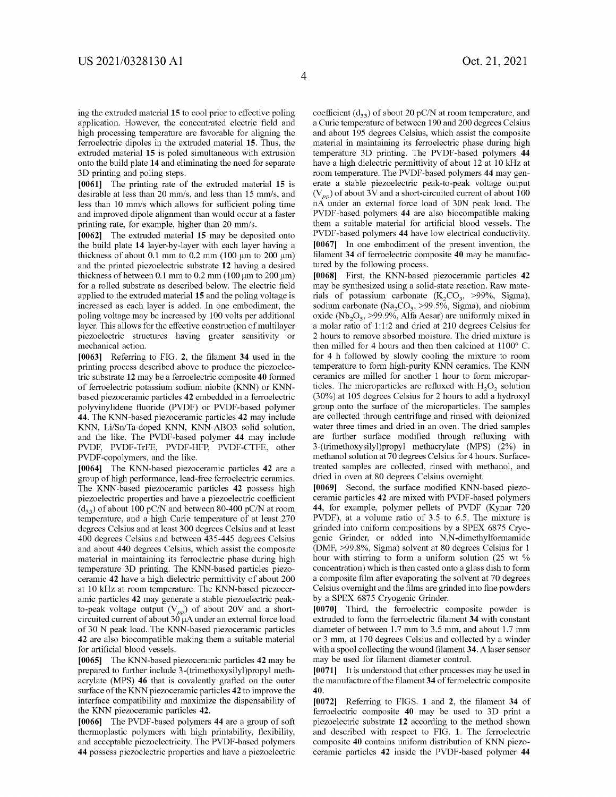ing the extruded material **15** to cool prior to effective poling application. However, the concentrated electric field and high processing temperature are favorable for aligning the ferroelectric dipoles in the extruded material **15.** Thus, the extruded material **15** is poled simultaneous with extrusion onto the build plate **14** and eliminating the need for separate 3D printing and poling steps.

**[0061]** The printing rate of the extruded material **15** is desirable at less than 20 mm/s, and less than 15 mm/s, and less than 10 mm/s which allows for sufficient poling time and improved dipole alignment than would occur at a faster printing rate, for example, higher than 20 mm/s.

**[0062]** The extruded material **15** may be deposited onto the build plate **14** layer-by-layer with each layer having a thickness of about 0.1 mm to 0.2 mm (100  $\mu$ m to 200  $\mu$ m) and the printed piezoelectric substrate **12** having a desired thickness of between  $0.1$  mm to  $0.2$  mm  $(100 \mu m)$  to  $200 \mu m$ ) for a rolled substrate as described below. The electric field applied to the extruded material **15** and the poling voltage is increased as each layer is added. In one embodiment, the poling voltage may be increased by 100 volts per additional layer. This allows for the effective construction of multilayer piezoelectric structures having greater sensitivity or mechanical action.

**[0063]** Referring to FIG. **2,** the filament **34** used in the printing process described above to produce the piezoelectric substrate **12** may be a ferroelectric composite **40** formed of ferroelectric potassium sodium niobite (KNN) or KNNbased piezoceramic particles **42** embedded in a ferroelectric polyvinylidene fluoride (PVDF) or PVDF-based polymer **44.** The KNN-based piezoceramic particles **42** may include KNN, Li/Sn/Ta-doped KNN, KNN-ABO3 solid solution, and the like. The PVDF-based polymer **44** may include PVDF, PVDF-TrFE, PVDF-HFP, PVDF-CTFE, other PVDF-copolymers, and the like.

**[0064]** The KNN-based piezoceramic particles **42** are a group of high performance, lead-free ferroelectric ceramics. The KNN-based piezoceramic particles **42** possess high piezoelectric properties and have a piezoelectric coefficient  $(d_{33})$  of about 100 pC/N and between 80-400 pC/N at room temperature, and a high Curie temperature of at least 270 degrees Celsius and at least 300 degrees Celsius and at least 400 degrees Celsius and between 435-445 degrees Celsius and about 440 degrees Celsius, which assist the composite material in maintaining its ferroelectric phase during high temperature 3D printing. The KNN-based particles piezoceramic **42** have a high dielectric permittivity of about 200 at 10 kHz at room temperature. The KNN-based piezoceramic particles **42** may generate a stable piezoelectric peakto-peak voltage output  $(V_{pp})$  of about 20V and a shortcircuited current of about  $30 \mu A$  under an external force load of 30 N peak load. The KNN-based piezoceramic particles **42** are also biocompatible making them a suitable material for artificial blood vessels.

**[0065]** The KNN-based piezoceramic particles **42** may be prepared to further include 3-(trimethoxysilyl)propyl methacrylate (MPS) **46** that is covalently grafted on the outer surface of the KNN piezoceramic particles **42** to improve the interface compatibility and maximize the dispensability of the KNN piezoceramic particles **42.** 

**[0066]** The PVDF-based polymers **44** are a group of soft thermoplastic polymers with high printability, flexibility, and acceptable piezoelectricity. The PVDF-based polymers **44** possess piezoelectric properties and have a piezoelectric coefficient  $(d_{33})$  of about 20 pC/N at room temperature, and a Curie temperature of between 190 and 200 degrees Celsius and about 195 degrees Celsius, which assist the composite material in maintaining its ferroelectric phase during high temperature 3D printing. The PVDF-based polymers **44**  have a high dielectric permittivity of about 12 at 10 kHz at room temperature. The PVDF-based polymers **44** may generate a stable piezoelectric peak-to-peak voltage output  $(V_{pp})$  of about 3V and a short-circuited current of about 100 nA under an external force load of 30N peak load. The PVDF-based polymers **44** are also biocompatible making them a suitable material for artificial blood vessels. The PVDF-based polymers **44** have low electrical conductivity. **[0067]** In one embodiment of the present invention, the filament **34** of ferroelectric composite **40** may be manufactured by the following process.

**[0068]** First, the KNN-based piezoceramic particles **42**  may be synthesized using a solid-state reaction. Raw materials of potassium carbonate  $(K_2CO_3, >99\%,$  Sigma), sodium carbonate (Na<sub>2</sub>CO<sub>3</sub>,  $>99.5\%$ , Sigma), and niobium oxide (Nb<sub>2</sub>O<sub>5</sub>, >99.9%, Alfa Aesar) are uniformly mixed in a molar ratio of 1:1:2 and dried at 210 degrees Celsius for 2 hours to remove absorbed moisture. The dried mixture is then milled for 4 hours and then then calcined at 1100° C. for 4 h followed by slowly cooling the mixture to room temperature to form high-purity KNN ceramics. The KNN ceramics are milled for another 1 hour to form microparticles. The microparticles are refluxed with  $H_2O_2$  solution (30%) at 105 degrees Celsius for 2 hours to add a hydroxyl group onto the surface of the microparticles. The samples are collected through centrifuge and rinsed with deionized water three times and dried in an oven. The dried samples are further surface modified through refluxing with 3-(trimethoxysilyl)propyl methacrylate (MPS) (2%) in methanol solution at 70 degrees Celsius for 4 hours. Surfacetreated samples are collected, rinsed with methanol, and dried in oven at 80 degrees Celsius overnight.

**[0069]** Second, the surface modified KNN-based piezoceramic particles **42** are mixed with PVDF-based polymers **44,** for example, polymer pellets of PVDF (Kynar 720 PVDF), at a volume ratio of 3.5 to 6.5. The mixture is grinded into uniform compositions by a SPEX 6875 Cryogenic Grinder, or added into N,N-dimethylformamide (DMF, >99.8%, Sigma) solvent at 80 degrees Celsius for 1 hour with stirring to form a uniform solution (25 wt % concentration) which is then casted onto a glass dish to form a composite film after evaporating the solvent at 70 degrees Celsius overnight and the films are grinded into fine powders by a SPEX 6875 Cryogenic Grinder.

**[0070]** Third, the ferroelectric composite powder is extruded to form the ferroelectric filament **34** with constant diameter of between 1.7 mm to 3.5 mm, and about 1.7 mm or 3 mm, at 170 degrees Celsius and collected by a winder with a spool collecting the wound filament **34.** A laser sensor may be used for filament diameter control.

**[0071]** It is understood that other processes may be used in the manufacture of the filament **34** of ferroelectric composite **40.** 

**[0072]** Referring to FIGS. **1** and **2,** the filament **34** of ferroelectric composite **40** may be used to 3D print a piezoelectric substrate **12** according to the method shown and described with respect to FIG. **1.** The ferroelectric composite **40** contains uniform distribution of KNN piezoceramic particles **42** inside the PVDF-based polymer **44**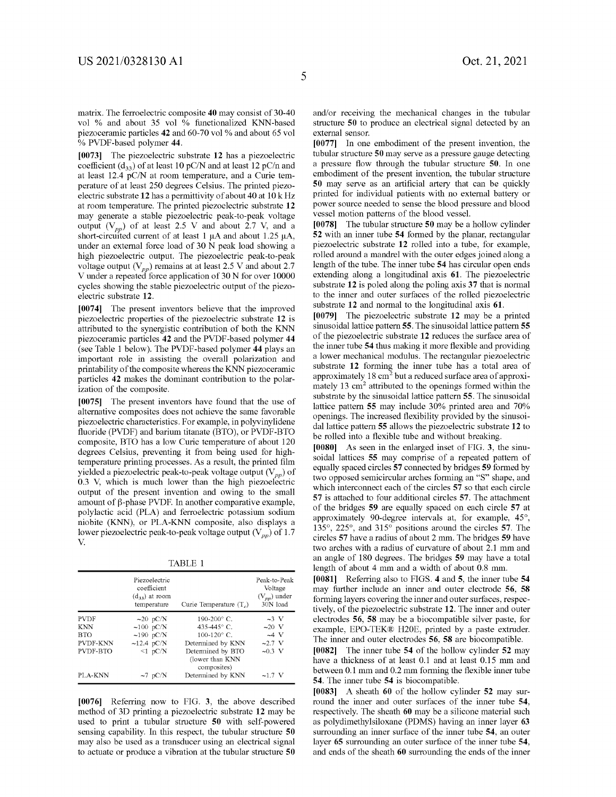5

matrix. The ferroelectric composite **40** may consist of 30-40 vol % and about 35 vol % functionalized KNN-based piezoceramic particles **42** and 60-70 vol % and about 65 vol % PVDF-based polymer **44.** 

**[0073]** The piezoelectric substrate **12** has a piezoelectric coefficient  $(d_{33})$  of at least 10 pC/N and at least 12 pC/n and at least 12.4 pC/N at room temperature, and a Curie temperature of at least 250 degrees Celsius. The printed piezoelectric substrate 12 has a permittivity of about 40 at 10 kHz at room temperature. The printed piezoelectric substrate **12**  may generate a stable piezoelectric peak-to-peak voltage output  $(V_{pp})$  of at least 2.5 V and about 2.7 V, and a short-circuited current of at least 1  $\mu$ A and about 1.25  $\mu$ A, under an external force load of 30 N peak load showing a high piezoelectric output. The piezoelectric peak-to-peak voltage output  $(V_{pp})$  remains at at least 2.5 V and about 2.7 V under a repeated force application of 30 N for over 10000 cycles showing the stable piezoelectric output of the piezoelectric substrate **12.** 

**[0074]** The present inventors believe that the improved piezoelectric properties of the piezoelectric substrate **12** is attributed to the synergistic contribution of both the KNN piezoceramic particles **42** and the PVDF-based polymer **44**  (see Table 1 below). The PVDF-based polymer **44** plays an important role in assisting the overall polarization and printability of the composite whereas the KNN piezoceramic particles **42** makes the dominant contribution to the polarization of the composite.

**[0075]** The present inventors have found that the use of alternative composites does not achieve the same favorable piezoelectric characteristics. For example, in polyvinylidene fluoride (PVDF) and barium titanate (BTO), or PVDF-BTO composite, BTO has a low Curie temperature of about 120 degrees Celsius, preventing it from being used for hightemperature printing processes. As a result, the printed film yielded a piezoelectric peak-to-peak voltage output *(V<sub>pp</sub>)* of 0.3 V, which is much lower than the high piezoelectric output of the present invention and owing to the small amount of  $\beta$ -phase PVDF. In another comparative example, polylactic acid (PLA) and ferroelectric potassium sodium niobite (KNN), or PLA-KNN composite, also displays a lower piezoelectric peak-to-peak voltage output *(V<sub>pp</sub>)* of 1.7  $\mathbf v$ 

TABLE 1

|                 | Piezoelectric<br>coefficient<br>$(d_{33})$ at room<br>temperature | Curie Temperature $(T_a)$                            | Peak-to-Peak<br>Voltage<br>$(V_{pp})$ under<br>30N load |
|-----------------|-------------------------------------------------------------------|------------------------------------------------------|---------------------------------------------------------|
| <b>PVDF</b>     | $\sim$ 20 pC/N                                                    | $190-200^{\circ}$ C.                                 | $\sim$ 3 V                                              |
| <b>KNN</b>      | $\sim 100$ pC/N                                                   | 435-445 $^{\circ}$ C.                                | $\sim$ 20 V                                             |
| <b>BTO</b>      | $\sim$ 190 pC/N                                                   | $100-120^{\circ}$ C.                                 | $-4V$                                                   |
| <b>PVDF-KNN</b> | $\sim$ 12.4 pC/N                                                  | Determined by KNN                                    | $-2.7$ V                                                |
| PVDF-BTO        | $\leq 1$ pC/N                                                     | Determined by BTO<br>(lower than KNN)<br>composites) | $\sim 0.3$ V                                            |
| PLA-KNN         | $\sim$ 7 pC/N                                                     | Determined by KNN                                    | ~1.7~V                                                  |

**[0076]** Referring now to FIG. **3,** the above described method of 3D printing a piezoelectric substrate **12** may be used to print a tubular structure **50** with self-powered sensing capability. In this respect, the tubular structure **50**  may also be used as a transducer using an electrical signal to actuate or produce a vibration at the tubular structure **50**  and/or receiving the mechanical changes in the tubular structure **50** to produce an electrical signal detected by an external sensor.

**[0077]** In one embodiment of the present invention, the tubular structure **50** may serve as a pressure gauge detecting a pressure flow through the tubular structure **50.** In one embodiment of the present invention, the tubular structure **50** may serve as an artificial artery that can be quickly printed for individual patients with no external battery or power source needed to sense the blood pressure and blood vessel motion patterns of the blood vessel.

**[0078]** The tubular structure **50** may be a hollow cylinder **52** with an inner tube **54** formed by the planar, rectangular piezoelectric substrate **12** rolled into a tube, for example, rolled around a mandrel with the outer edges joined along a length of the tube. The inner tube **54** has circular open ends extending along a longitudinal axis **61.** The piezoelectric substrate **12** is poled along the poling axis **37** that is normal to the inner and outer surfaces of the rolled piezoelectric substrate **12** and normal to the longitudinal axis **61.** 

**[0079]** The piezoelectric substrate **12** may be a printed sinusoidal lattice pattern **55.** The sinusoidal lattice pattern **55**  of the piezoelectric substrate **12** reduces the surface area of the inner tube **54** thus making it more flexible and providing a lower mechanical modulus. The rectangular piezoelectric substrate **12** forming the inner tube has a total area of approximately  $18 \text{ cm}^2$  but a reduced surface area of approximately 13  $\text{cm}^2$  attributed to the openings formed within the substrate by the sinusoidal lattice pattern **55.** The sinusoidal lattice pattern **55** may include 30% printed area and 70% openings. The increased flexibility provided by the sinusoidal lattice pattern **55** allows the piezoelectric substrate **12** to be rolled into a flexible tube and without breaking.

**[0080]** As seen in the enlarged inset of FIG. **3,** the sinusoidal lattices **55** may comprise of a repeated pattern of equally spaced circles **57** connected by bridges **59** formed by two opposed semicircular arches forming an "S" shape, and which interconnect each of the circles **57** so that each circle **57** is attached to four additional circles **57.** The attachment of the bridges **59** are equally spaced on each circle **57** at approximately 90-degree intervals at, for example, 45°, 135°, 225°, and 315° positions around the circles **57.** The circles **57** have a radius of about 2 mm. The bridges **59** have two arches with a radius of curvature of about 2.1 mm and an angle of 180 degrees. The bridges **59** may have a total length of about 4 mm and a width of about 0.8 mm.

**[0081]** Referring also to FIGS. **4** and **5,** the inner tube **54**  may further include an inner and outer electrode **56, 58**  forming layers covering the inner and outer surfaces, respectively, of the piezoelectric substrate **12.** The inner and outer electrodes **56, 58** may be a biocompatible silver paste, for example, EPO-TEK® H20E, printed by a paste extruder. The inner and outer electrodes **56, 58** are biocompatible.

**[0082]** The inner tube **54** of the hollow cylinder **52** may have a thickness of at least 0.1 and at least 0.15 mm and between 0.1 mm and 0.2 mm forming the flexible inner tube **54.** The inner tube **54** is biocompatible.

**[0083]** A sheath **60** of the hollow cylinder **52** may surround the inner and outer surfaces of the inner tube **54,**  respectively. The sheath **60** may be a silicone material such as polydimethylsiloxane (PDMS) having an inner layer **63**  surrounding an inner surface of the inner tube **54,** an outer layer **65** surrounding an outer surface of the inner tube **54,**  and ends of the sheath **60** surrounding the ends of the inner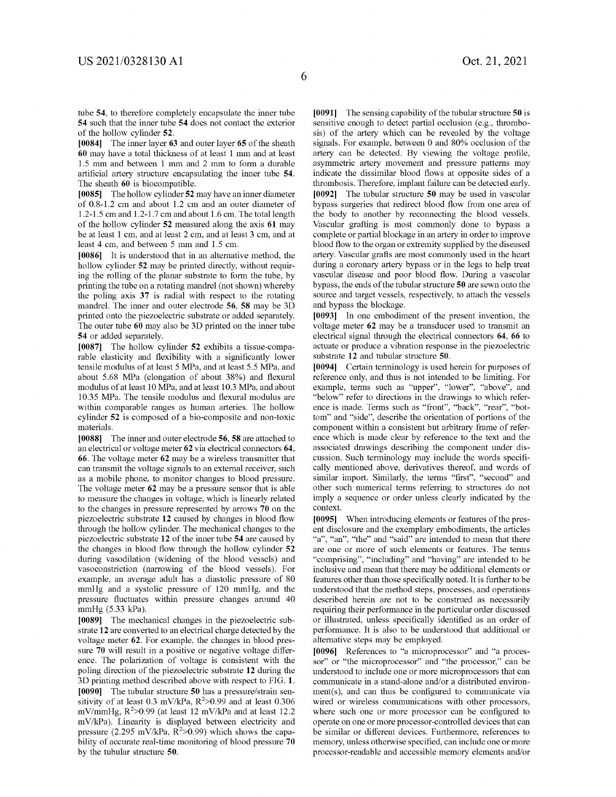tube **54,** to therefore completely encapsulate the inner tube **54** such that the inner tube **54** does not contact the exterior of the hollow cylinder **52.** 

**[0084]** The inner layer **63** and outer layer **65** of the sheath **60** may have a total thickness of at least 1 mm and at least 1.5 mm and between 1 mm and 2 mm to form a durable artificial artery structure encapsulating the inner tube **54.**  The sheath **60** is biocompatible.

**[0085]** The hollow cylinder **52** may have an inner diameter of 0.8-1.2 cm and about 1.2 cm and an outer diameter of 1.2-1.5 cm and 1.2-1.7 cm and about 1.6 cm. The total length of the hollow cylinder **52** measured along the axis **61** may be at least 1 cm, and at least 2 cm, and at least 3 cm, and at least 4 cm, and between 5 mm and 1.5 cm.

**[0086]** It is understood that in an alternative method, the hollow cylinder **52** may be printed directly, without requiring the rolling of the planar substrate to form the tube, by printing the tube on a rotating mandrel (not shown) whereby the poling axis **37** is radial with respect to the rotating mandrel. The inner and outer electrode **56, 58** may be 3D printed onto the piezoelectric substrate or added separately. The outer tube **60** may also be 3D printed on the inner tube **54** or added separately.

**[0087]** The hollow cylinder **52** exhibits a tissue-comparable elasticity and flexibility with a significantly lower tensile modulus of at least 5 MPa, and at least 5 .5 MPa, and about 5.68 MPa (elongation of about 38%) and flexural modulus of at least 10 MPa, and at least 10.3 MPa, and about 10.35 MPa. The tensile modulus and flexural modulus are within comparable ranges as human arteries. The hollow cylinder **52** is composed of a bio-composite and non-toxic materials.

**[0088]** The inner and outer electrode **56, 58** are attached to an electrical or voltage meter **62** via electrical connectors **64, 66.** The voltage meter **62** may be a wireless transmitter that can transmit the voltage signals to an external receiver, such as a mobile phone, to monitor changes to blood pressure. The voltage meter **62** may be a pressure sensor that is able to measure the changes in voltage, which is linearly related to the changes in pressure represented by arrows **70** on the piezoelectric substrate **12** caused by changes in blood flow through the hollow cylinder. The mechanical changes to the piezoelectric substrate **12** of the inner tube **54** are caused by the changes in blood flow through the hollow cylinder **52**  during vasodilation (widening of the blood vessels) and vasoconstriction (narrowing of the blood vessels). For example, an average adult has a diastolic pressure of 80 mmHg and a systolic pressure of 120 mmHg, and the pressure fluctuates within pressure changes around 40 mmHg (5.33 kPa).

**[0089]** The mechanical changes in the piezoelectric substrate **12** are converted to an electrical charge detected by the voltage meter **62.** For example, the changes in blood pressure **70** will result in a positive or negative voltage difference. The polarization of voltage is consistent with the poling direction of the piezoelectric substrate **12** during the 3D printing method described above with respect to FIG. **1. [0090]** The tubular structure **50** has a pressure/strain sensitivity of at least  $0.3 \text{ mV/kPa}$ ,  $\mathbb{R}^2$ >0.99 and at least 0.306 mV/mmHg,  $R^2$ >0.99 (at least 12 mV/kPa and at least 12.2 mV/kPa). Linearity is displayed between electricity and pressure  $(2.295 \text{ mV/kPa}, \text{R}^2>0.99)$  which shows the capability of accurate real-time monitoring of blood pressure **70**  by the tubular structure **50.** 

**[0091]** The sensing capability of the tubular structure **50** is sensitive enough to detect partial occlusion (e.g., thrombosis) of the artery which can be revealed by the voltage signals. For example, between 0 and 80% occlusion of the artery can be detected. By viewing the voltage profile, asymmetric artery movement and pressure patterns may indicate the dissimilar blood flows at opposite sides of a thrombosis. Therefore, implant failure can be detected early. **[0092]** The tubular structure **50** may be used in vascular bypass surgeries that redirect blood flow from one area of the body to another by reconnecting the blood vessels. Vascular grafting is most commonly done to bypass a complete or partial blockage in an artery in order to improve blood flow to the organ or extremity supplied by the diseased artery. Vascular grafts are most commonly used in the heart during a coronary artery bypass or in the legs to help treat vascular disease and poor blood flow. During a vascular bypass, the ends of the tubular structure **50** are sewn onto the source and target vessels, respectively, to attach the vessels and bypass the blockage.

**[0093]** In one embodiment of the present invention, the voltage meter **62** may be a transducer used to transmit an electrical signal through the electrical connectors **64, 66** to actuate or produce a vibration response in the piezoelectric substrate **12** and tubular structure **50.** 

**[0094]** Certain terminology is used herein for purposes of reference only, and thus is not intended to be limiting. For example, terms such as "upper", "lower", "above", and "below" refer to directions in the drawings to which reference is made. Terms such as "front", "back", "rear", "bottom" and "side", describe the orientation of portions of the component within a consistent but arbitrary frame of reference which is made clear by reference to the text and the associated drawings describing the component under discussion. Such terminology may include the words specifically mentioned above, derivatives thereof, and words of similar import. Similarly, the terms "first", "second" and other such numerical terms referring to structures do not imply a sequence or order unless clearly indicated by the context.

**[0095]** When introducing elements or features of the present disclosure and the exemplary embodiments, the articles "a", "an", "the" and "said" are intended to mean that there are one or more of such elements or features. The terms "comprising", "including" and "having" are intended to be inclusive and mean that there may be additional elements or features other than those specifically noted. It is further to be understood that the method steps, processes, and operations described herein are not to be construed as necessarily requiring their performance in the particular order discussed or illustrated, unless specifically identified as an order of performance. It is also to be understood that additional or alternative steps may be employed.

**[0096]** References to "a microprocessor" and "a processor" or "the microprocessor" and "the processor," can be understood to include one or more microprocessors that can communicate in a stand-alone and/or a distributed environ $ment(s)$ , and can thus be configured to communicate via wired or wireless communications with other processors, where such one or more processor can be configured to operate on one or more processor-controlled devices that can be similar or different devices. Furthermore, references to memory, unless otherwise specified, can include one or more processor-readable and accessible memory elements and/or